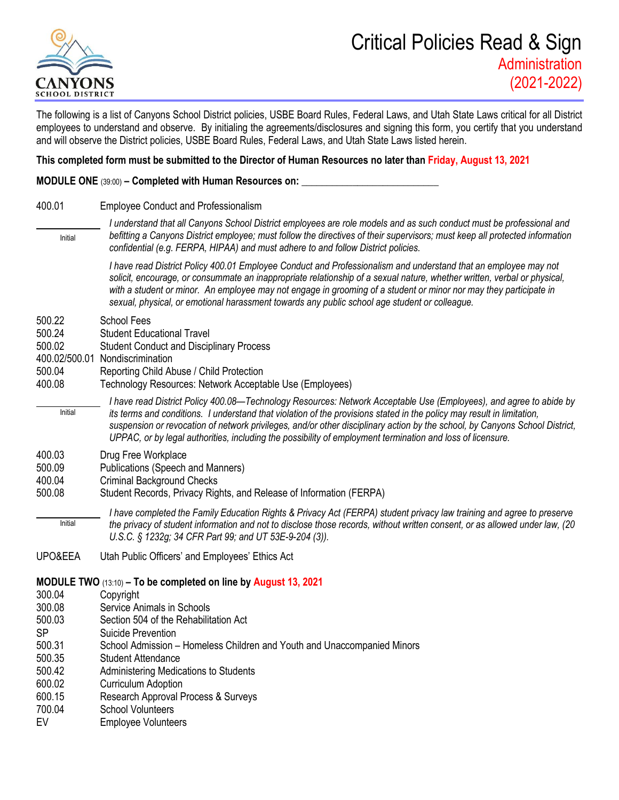

The following is a list of Canyons School District policies, USBE Board Rules, Federal Laws, and Utah State Laws critical for all District employees to understand and observe. By initialing the agreements/disclosures and signing this form, you certify that you understand and will observe the District policies, USBE Board Rules, Federal Laws, and Utah State Laws listed herein.

### **This completed form must be submitted to the Director of Human Resources no later than Friday, August 13, 2021**

#### **MODULE ONE** (39:00) – **Completed with Human Resources on:**

- 400.01 Employee Conduct and Professionalism *I understand that all Canyons School District employees are role models and as such conduct must be professional and befitting a Canyons District employee; must follow the directives of their supervisors; must keep all protected information confidential (e.g. FERPA, HIPAA) and must adhere to and follow District policies. I have read District Policy 400.01 Employee Conduct and Professionalism and understand that an employee may not solicit, encourage, or consummate an inappropriate relationship of a sexual nature, whether written, verbal or physical, with a student or minor. An employee may not engage in grooming of a student or minor nor may they participate in sexual, physical, or emotional harassment towards any public school age student or colleague.* 500.22 School Fees 500.24 Student Educational Travel 500.02 Student Conduct and Disciplinary Process 400.02/500.01 Nondiscrimination 500.04 Reporting Child Abuse / Child Protection 400.08 Technology Resources: Network Acceptable Use (Employees) *I have read District Policy 400.08—Technology Resources: Network Acceptable Use (Employees), and agree to abide by its terms and conditions. I understand that violation of the provisions stated in the policy may result in limitation, suspension or revocation of network privileges, and/or other disciplinary action by the school, by Canyons School District, UPPAC, or by legal authorities, including the possibility of employment termination and loss of licensure.* 400.03 Drug Free Workplace 500.09 Publications (Speech and Manners) 400.04 Criminal Background Checks 500.08 Student Records, Privacy Rights, and Release of Information (FERPA) *I have completed the Family Education Rights & Privacy Act (FERPA) student privacy law training and agree to preserve the privacy of student information and not to disclose those records, without written consent, or as allowed under law, (20 U.S.C. § 1232g; 34 CFR Part 99; and UT 53E-9-204 (3)).* UPO&EEA Utah Public Officers' and Employees' Ethics Act **MODULE TWO** (13:10) **– To be completed on line by August 13, 2021** 300.04 Copyright 300.08 Service Animals in Schools 500.03 Section 504 of the Rehabilitation Act SP Suicide Prevention 500.31 School Admission – Homeless Children and Youth and Unaccompanied Minors 500.35 Student Attendance 500.42 Administering Medications to Students 600.02 Curriculum Adoption 600.15 Research Approval Process & Surveys Initial Initial Initial
- 
- 700.04 School Volunteers
- EV Employee Volunteers